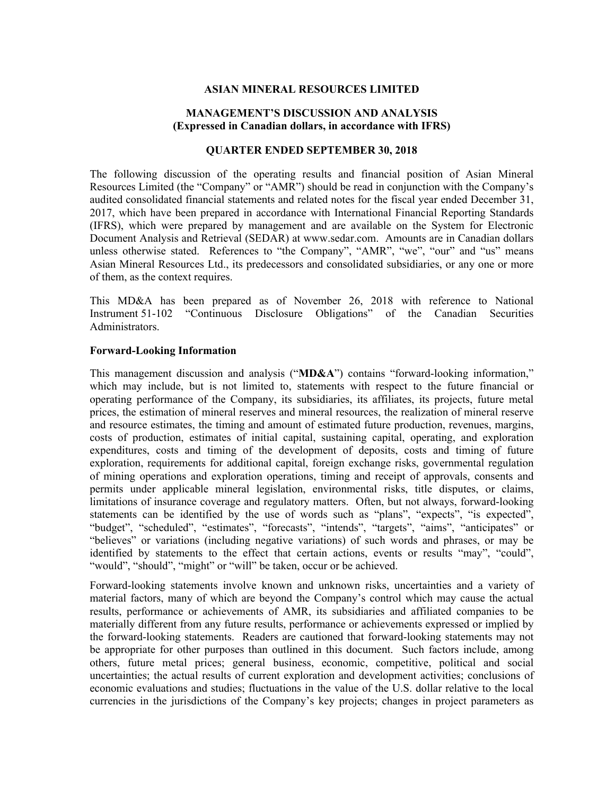## **ASIAN MINERAL RESOURCES LIMITED**

## **MANAGEMENT'S DISCUSSION AND ANALYSIS (Expressed in Canadian dollars, in accordance with IFRS)**

## **QUARTER ENDED SEPTEMBER 30, 2018**

The following discussion of the operating results and financial position of Asian Mineral Resources Limited (the "Company" or "AMR") should be read in conjunction with the Company's audited consolidated financial statements and related notes for the fiscal year ended December 31, 2017, which have been prepared in accordance with International Financial Reporting Standards (IFRS), which were prepared by management and are available on the System for Electronic Document Analysis and Retrieval (SEDAR) at www.sedar.com. Amounts are in Canadian dollars unless otherwise stated. References to "the Company", "AMR", "we", "our" and "us" means Asian Mineral Resources Ltd., its predecessors and consolidated subsidiaries, or any one or more of them, as the context requires.

This MD&A has been prepared as of November 26, 2018 with reference to National Instrument 51-102 "Continuous Disclosure Obligations" of the Canadian Securities Administrators.

## **Forward-Looking Information**

This management discussion and analysis ("**MD&A**") contains "forward-looking information," which may include, but is not limited to, statements with respect to the future financial or operating performance of the Company, its subsidiaries, its affiliates, its projects, future metal prices, the estimation of mineral reserves and mineral resources, the realization of mineral reserve and resource estimates, the timing and amount of estimated future production, revenues, margins, costs of production, estimates of initial capital, sustaining capital, operating, and exploration expenditures, costs and timing of the development of deposits, costs and timing of future exploration, requirements for additional capital, foreign exchange risks, governmental regulation of mining operations and exploration operations, timing and receipt of approvals, consents and permits under applicable mineral legislation, environmental risks, title disputes, or claims, limitations of insurance coverage and regulatory matters. Often, but not always, forward-looking statements can be identified by the use of words such as "plans", "expects", "is expected", "budget", "scheduled", "estimates", "forecasts", "intends", "targets", "aims", "anticipates" or "believes" or variations (including negative variations) of such words and phrases, or may be identified by statements to the effect that certain actions, events or results "may", "could", "would", "should", "might" or "will" be taken, occur or be achieved.

Forward-looking statements involve known and unknown risks, uncertainties and a variety of material factors, many of which are beyond the Company's control which may cause the actual results, performance or achievements of AMR, its subsidiaries and affiliated companies to be materially different from any future results, performance or achievements expressed or implied by the forward-looking statements. Readers are cautioned that forward-looking statements may not be appropriate for other purposes than outlined in this document. Such factors include, among others, future metal prices; general business, economic, competitive, political and social uncertainties; the actual results of current exploration and development activities; conclusions of economic evaluations and studies; fluctuations in the value of the U.S. dollar relative to the local currencies in the jurisdictions of the Company's key projects; changes in project parameters as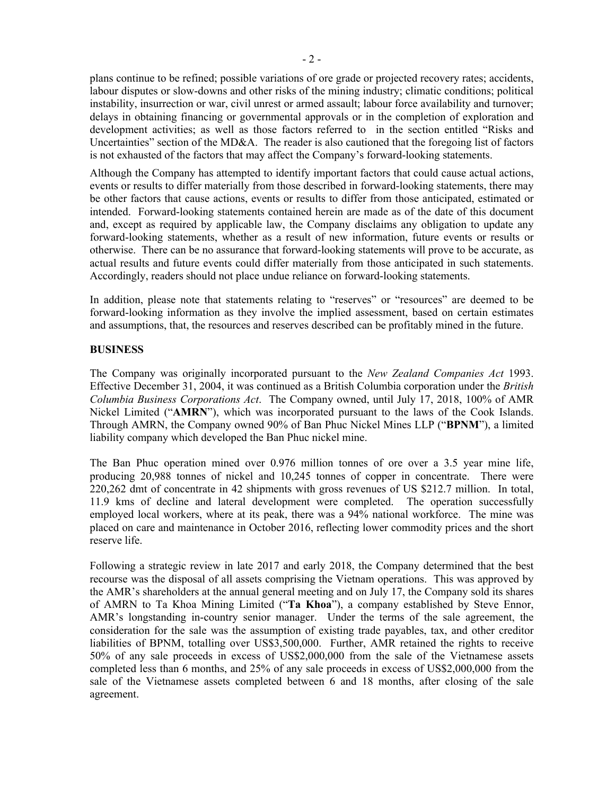plans continue to be refined; possible variations of ore grade or projected recovery rates; accidents, labour disputes or slow-downs and other risks of the mining industry; climatic conditions; political instability, insurrection or war, civil unrest or armed assault; labour force availability and turnover; delays in obtaining financing or governmental approvals or in the completion of exploration and development activities; as well as those factors referred to in the section entitled "Risks and Uncertainties" section of the MD&A. The reader is also cautioned that the foregoing list of factors is not exhausted of the factors that may affect the Company's forward-looking statements.

Although the Company has attempted to identify important factors that could cause actual actions, events or results to differ materially from those described in forward-looking statements, there may be other factors that cause actions, events or results to differ from those anticipated, estimated or intended. Forward-looking statements contained herein are made as of the date of this document and, except as required by applicable law, the Company disclaims any obligation to update any forward-looking statements, whether as a result of new information, future events or results or otherwise. There can be no assurance that forward-looking statements will prove to be accurate, as actual results and future events could differ materially from those anticipated in such statements. Accordingly, readers should not place undue reliance on forward-looking statements.

In addition, please note that statements relating to "reserves" or "resources" are deemed to be forward-looking information as they involve the implied assessment, based on certain estimates and assumptions, that, the resources and reserves described can be profitably mined in the future.

## **BUSINESS**

The Company was originally incorporated pursuant to the *New Zealand Companies Act* 1993. Effective December 31, 2004, it was continued as a British Columbia corporation under the *British Columbia Business Corporations Act*. The Company owned, until July 17, 2018, 100% of AMR Nickel Limited ("**AMRN**"), which was incorporated pursuant to the laws of the Cook Islands. Through AMRN, the Company owned 90% of Ban Phuc Nickel Mines LLP ("**BPNM**"), a limited liability company which developed the Ban Phuc nickel mine.

The Ban Phuc operation mined over 0.976 million tonnes of ore over a 3.5 year mine life, producing 20,988 tonnes of nickel and 10,245 tonnes of copper in concentrate. There were 220,262 dmt of concentrate in 42 shipments with gross revenues of US \$212.7 million. In total, 11.9 kms of decline and lateral development were completed. The operation successfully employed local workers, where at its peak, there was a 94% national workforce. The mine was placed on care and maintenance in October 2016, reflecting lower commodity prices and the short reserve life.

Following a strategic review in late 2017 and early 2018, the Company determined that the best recourse was the disposal of all assets comprising the Vietnam operations. This was approved by the AMR's shareholders at the annual general meeting and on July 17, the Company sold its shares of AMRN to Ta Khoa Mining Limited ("**Ta Khoa**"), a company established by Steve Ennor, AMR's longstanding in-country senior manager. Under the terms of the sale agreement, the consideration for the sale was the assumption of existing trade payables, tax, and other creditor liabilities of BPNM, totalling over US\$3,500,000. Further, AMR retained the rights to receive 50% of any sale proceeds in excess of US\$2,000,000 from the sale of the Vietnamese assets completed less than 6 months, and 25% of any sale proceeds in excess of US\$2,000,000 from the sale of the Vietnamese assets completed between 6 and 18 months, after closing of the sale agreement.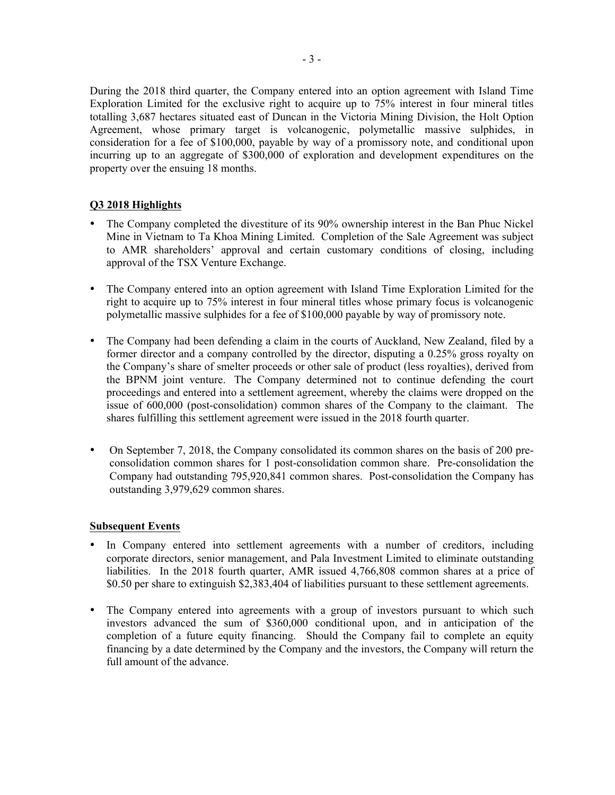During the 2018 third quarter, the Company entered into an option agreement with Island Time Exploration Limited for the exclusive right to acquire up to 75% interest in four mineral titles totalling 3,687 hectares situated east of Duncan in the Victoria Mining Division, the Holt Option Agreement, whose primary target is volcanogenic, polymetallic massive sulphides, in consideration for a fee of \$100,000, payable by way of a promissory note, and conditional upon incurring up to an aggregate of \$300,000 of exploration and development expenditures on the property over the ensuing 18 months.

# **Q3 2018 Highlights**

- The Company completed the divestiture of its 90% ownership interest in the Ban Phuc Nickel Mine in Vietnam to Ta Khoa Mining Limited. Completion of the Sale Agreement was subject to AMR shareholders' approval and certain customary conditions of closing, including approval of the TSX Venture Exchange.
- The Company entered into an option agreement with Island Time Exploration Limited for the right to acquire up to 75% interest in four mineral titles whose primary focus is volcanogenic polymetallic massive sulphides for a fee of \$100,000 payable by way of promissory note.
- The Company had been defending a claim in the courts of Auckland, New Zealand, filed by a former director and a company controlled by the director, disputing a 0.25% gross royalty on the Company's share of smelter proceeds or other sale of product (less royalties), derived from the BPNM joint venture. The Company determined not to continue defending the court proceedings and entered into a settlement agreement, whereby the claims were dropped on the issue of 600,000 (post-consolidation) common shares of the Company to the claimant. The shares fulfilling this settlement agreement were issued in the 2018 fourth quarter.
- On September 7, 2018, the Company consolidated its common shares on the basis of 200 preconsolidation common shares for 1 post-consolidation common share. Pre-consolidation the Company had outstanding 795,920,841 common shares. Post-consolidation the Company has outstanding 3,979,629 common shares.

# **Subsequent Events**

- In Company entered into settlement agreements with a number of creditors, including corporate directors, senior management, and Pala Investment Limited to eliminate outstanding liabilities. In the 2018 fourth quarter, AMR issued 4,766,808 common shares at a price of \$0.50 per share to extinguish \$2,383,404 of liabilities pursuant to these settlement agreements.
- The Company entered into agreements with a group of investors pursuant to which such investors advanced the sum of \$360,000 conditional upon, and in anticipation of the completion of a future equity financing. Should the Company fail to complete an equity financing by a date determined by the Company and the investors, the Company will return the full amount of the advance.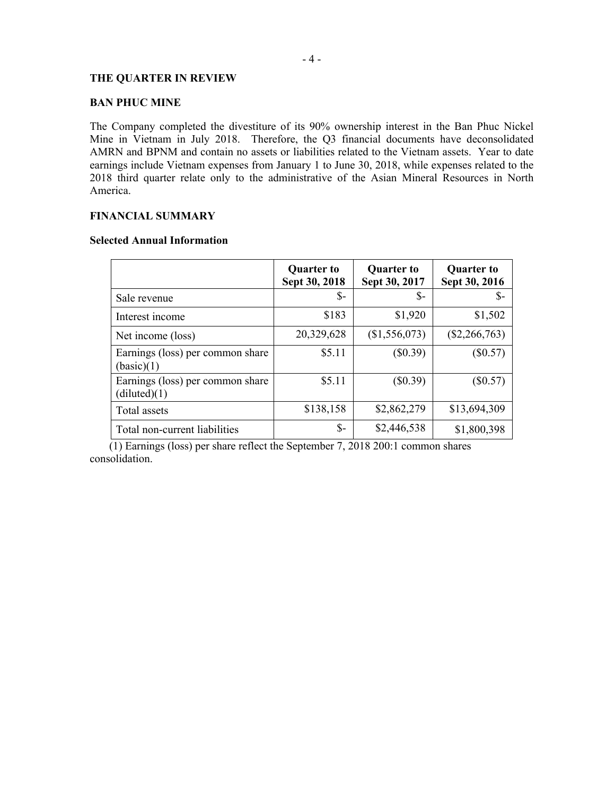## **THE QUARTER IN REVIEW**

## **BAN PHUC MINE**

The Company completed the divestiture of its 90% ownership interest in the Ban Phuc Nickel Mine in Vietnam in July 2018. Therefore, the Q3 financial documents have deconsolidated AMRN and BPNM and contain no assets or liabilities related to the Vietnam assets. Year to date earnings include Vietnam expenses from January 1 to June 30, 2018, while expenses related to the 2018 third quarter relate only to the administrative of the Asian Mineral Resources in North America.

# **FINANCIAL SUMMARY**

#### **Selected Annual Information**

|                                                  | <b>Quarter to</b><br>Sept 30, 2018 | <b>Quarter to</b><br>Sept 30, 2017 | <b>Quarter to</b><br>Sept 30, 2016 |
|--------------------------------------------------|------------------------------------|------------------------------------|------------------------------------|
| Sale revenue                                     | \$-                                | \$-                                | $\mathsf{S}$ -                     |
| Interest income                                  | \$183                              | \$1,920                            | \$1,502                            |
| Net income (loss)                                | 20,329,628                         | (\$1,556,073)                      | $(\$2,266,763)$                    |
| Earnings (loss) per common share<br>(basic)(1)   | \$5.11                             | (\$0.39)                           | $(\$0.57)$                         |
| Earnings (loss) per common share<br>(diluted)(1) | \$5.11                             | (\$0.39)                           | $(\$0.57)$                         |
| Total assets                                     | \$138,158                          | \$2,862,279                        | \$13,694,309                       |
| Total non-current liabilities                    | $\mathsf{\$}$                      | \$2,446,538                        | \$1,800,398                        |

 (1) Earnings (loss) per share reflect the September 7, 2018 200:1 common shares consolidation.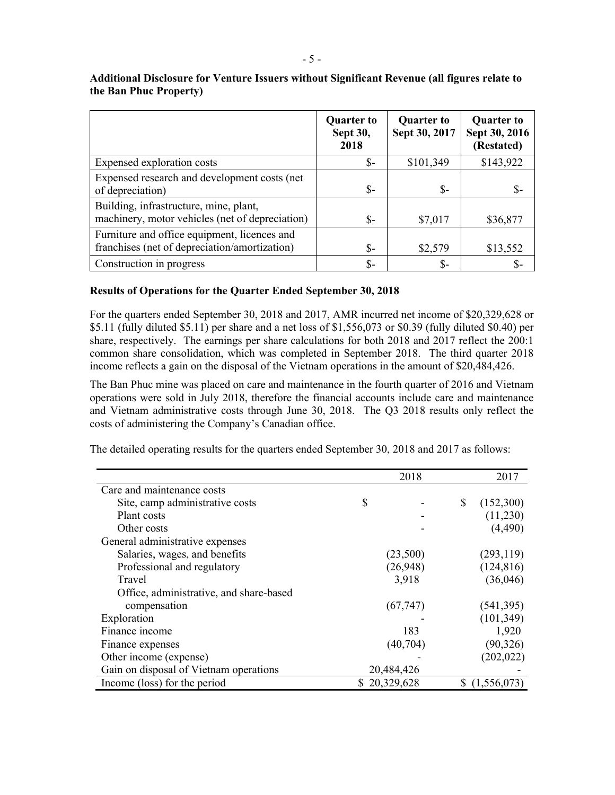|                                                                                               | <b>Quarter to</b><br>Sept 30,<br>2018 | <b>Quarter to</b><br>Sept 30, 2017 | <b>Quarter to</b><br>Sept 30, 2016<br>(Restated) |
|-----------------------------------------------------------------------------------------------|---------------------------------------|------------------------------------|--------------------------------------------------|
| Expensed exploration costs                                                                    | \$-                                   | \$101,349                          | \$143,922                                        |
| Expensed research and development costs (net<br>of depreciation)                              | \$-                                   | $S-$                               | \$-                                              |
| Building, infrastructure, mine, plant,<br>machinery, motor vehicles (net of depreciation)     | \$-                                   | \$7,017                            | \$36,877                                         |
| Furniture and office equipment, licences and<br>franchises (net of depreciation/amortization) | \$-                                   | \$2,579                            | \$13,552                                         |
| Construction in progress                                                                      | \$-                                   | \$-                                | \$-                                              |

**Additional Disclosure for Venture Issuers without Significant Revenue (all figures relate to the Ban Phuc Property)**

## **Results of Operations for the Quarter Ended September 30, 2018**

For the quarters ended September 30, 2018 and 2017, AMR incurred net income of \$20,329,628 or \$5.11 (fully diluted \$5.11) per share and a net loss of \$1,556,073 or \$0.39 (fully diluted \$0.40) per share, respectively. The earnings per share calculations for both 2018 and 2017 reflect the 200:1 common share consolidation, which was completed in September 2018. The third quarter 2018 income reflects a gain on the disposal of the Vietnam operations in the amount of \$20,484,426.

The Ban Phuc mine was placed on care and maintenance in the fourth quarter of 2016 and Vietnam operations were sold in July 2018, therefore the financial accounts include care and maintenance and Vietnam administrative costs through June 30, 2018. The Q3 2018 results only reflect the costs of administering the Company's Canadian office.

|                                         | 2018         | 2017            |
|-----------------------------------------|--------------|-----------------|
| Care and maintenance costs              |              |                 |
| Site, camp administrative costs         | \$           | \$<br>(152,300) |
| Plant costs                             |              | (11,230)        |
| Other costs                             |              | (4,490)         |
| General administrative expenses         |              |                 |
| Salaries, wages, and benefits           | (23,500)     | (293, 119)      |
| Professional and regulatory             | (26,948)     | (124, 816)      |
| Travel                                  | 3,918        | (36,046)        |
| Office, administrative, and share-based |              |                 |
| compensation                            | (67, 747)    | (541, 395)      |
| Exploration                             |              | (101, 349)      |
| Finance income                          | 183          | 1,920           |
| Finance expenses                        | (40, 704)    | (90, 326)       |
| Other income (expense)                  |              | (202, 022)      |
| Gain on disposal of Vietnam operations  | 20,484,426   |                 |
| Income (loss) for the period            | \$20,329,628 | (1,556,073)     |

The detailed operating results for the quarters ended September 30, 2018 and 2017 as follows: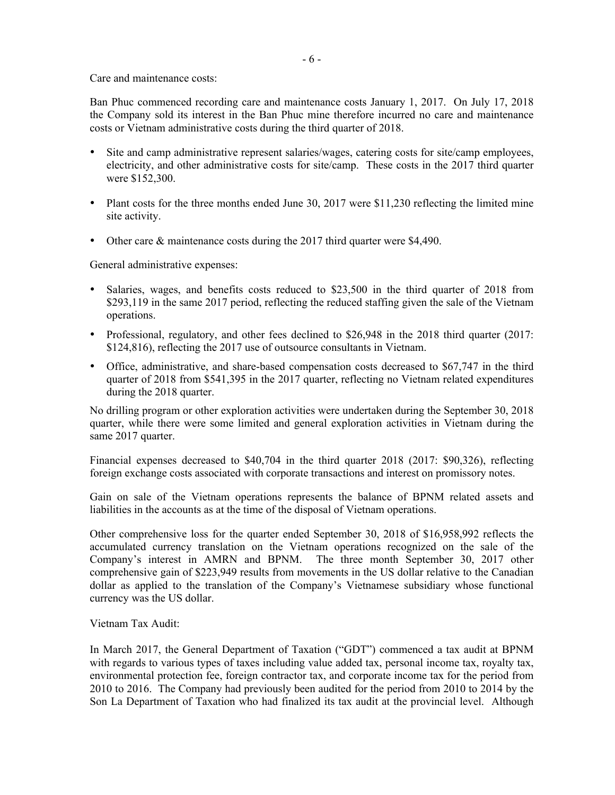Care and maintenance costs:

Ban Phuc commenced recording care and maintenance costs January 1, 2017. On July 17, 2018 the Company sold its interest in the Ban Phuc mine therefore incurred no care and maintenance costs or Vietnam administrative costs during the third quarter of 2018.

- Site and camp administrative represent salaries/wages, catering costs for site/camp employees, electricity, and other administrative costs for site/camp. These costs in the 2017 third quarter were \$152,300.
- Plant costs for the three months ended June 30, 2017 were \$11,230 reflecting the limited mine site activity.
- Other care & maintenance costs during the 2017 third quarter were \$4,490.

General administrative expenses:

- Salaries, wages, and benefits costs reduced to \$23,500 in the third quarter of 2018 from \$293,119 in the same 2017 period, reflecting the reduced staffing given the sale of the Vietnam operations.
- Professional, regulatory, and other fees declined to \$26,948 in the 2018 third quarter (2017: \$124,816), reflecting the 2017 use of outsource consultants in Vietnam.
- Office, administrative, and share-based compensation costs decreased to \$67,747 in the third quarter of 2018 from \$541,395 in the 2017 quarter, reflecting no Vietnam related expenditures during the 2018 quarter.

No drilling program or other exploration activities were undertaken during the September 30, 2018 quarter, while there were some limited and general exploration activities in Vietnam during the same 2017 quarter.

Financial expenses decreased to \$40,704 in the third quarter 2018 (2017: \$90,326), reflecting foreign exchange costs associated with corporate transactions and interest on promissory notes.

Gain on sale of the Vietnam operations represents the balance of BPNM related assets and liabilities in the accounts as at the time of the disposal of Vietnam operations.

Other comprehensive loss for the quarter ended September 30, 2018 of \$16,958,992 reflects the accumulated currency translation on the Vietnam operations recognized on the sale of the Company's interest in AMRN and BPNM. The three month September 30, 2017 other comprehensive gain of \$223,949 results from movements in the US dollar relative to the Canadian dollar as applied to the translation of the Company's Vietnamese subsidiary whose functional currency was the US dollar.

# Vietnam Tax Audit:

In March 2017, the General Department of Taxation ("GDT") commenced a tax audit at BPNM with regards to various types of taxes including value added tax, personal income tax, royalty tax, environmental protection fee, foreign contractor tax, and corporate income tax for the period from 2010 to 2016. The Company had previously been audited for the period from 2010 to 2014 by the Son La Department of Taxation who had finalized its tax audit at the provincial level. Although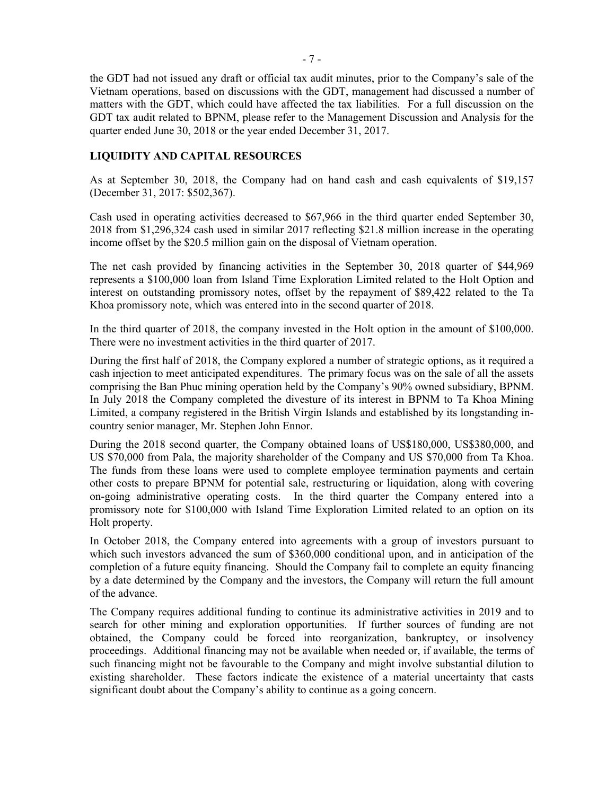the GDT had not issued any draft or official tax audit minutes, prior to the Company's sale of the Vietnam operations, based on discussions with the GDT, management had discussed a number of matters with the GDT, which could have affected the tax liabilities. For a full discussion on the GDT tax audit related to BPNM, please refer to the Management Discussion and Analysis for the quarter ended June 30, 2018 or the year ended December 31, 2017.

## **LIQUIDITY AND CAPITAL RESOURCES**

As at September 30, 2018, the Company had on hand cash and cash equivalents of \$19,157 (December 31, 2017: \$502,367).

Cash used in operating activities decreased to \$67,966 in the third quarter ended September 30, 2018 from \$1,296,324 cash used in similar 2017 reflecting \$21.8 million increase in the operating income offset by the \$20.5 million gain on the disposal of Vietnam operation.

The net cash provided by financing activities in the September 30, 2018 quarter of \$44,969 represents a \$100,000 loan from Island Time Exploration Limited related to the Holt Option and interest on outstanding promissory notes, offset by the repayment of \$89,422 related to the Ta Khoa promissory note, which was entered into in the second quarter of 2018.

In the third quarter of 2018, the company invested in the Holt option in the amount of \$100,000. There were no investment activities in the third quarter of 2017.

During the first half of 2018, the Company explored a number of strategic options, as it required a cash injection to meet anticipated expenditures. The primary focus was on the sale of all the assets comprising the Ban Phuc mining operation held by the Company's 90% owned subsidiary, BPNM. In July 2018 the Company completed the divesture of its interest in BPNM to Ta Khoa Mining Limited, a company registered in the British Virgin Islands and established by its longstanding incountry senior manager, Mr. Stephen John Ennor.

During the 2018 second quarter, the Company obtained loans of US\$180,000, US\$380,000, and US \$70,000 from Pala, the majority shareholder of the Company and US \$70,000 from Ta Khoa. The funds from these loans were used to complete employee termination payments and certain other costs to prepare BPNM for potential sale, restructuring or liquidation, along with covering on-going administrative operating costs. In the third quarter the Company entered into a promissory note for \$100,000 with Island Time Exploration Limited related to an option on its Holt property.

In October 2018, the Company entered into agreements with a group of investors pursuant to which such investors advanced the sum of \$360,000 conditional upon, and in anticipation of the completion of a future equity financing. Should the Company fail to complete an equity financing by a date determined by the Company and the investors, the Company will return the full amount of the advance.

The Company requires additional funding to continue its administrative activities in 2019 and to search for other mining and exploration opportunities. If further sources of funding are not obtained, the Company could be forced into reorganization, bankruptcy, or insolvency proceedings. Additional financing may not be available when needed or, if available, the terms of such financing might not be favourable to the Company and might involve substantial dilution to existing shareholder. These factors indicate the existence of a material uncertainty that casts significant doubt about the Company's ability to continue as a going concern.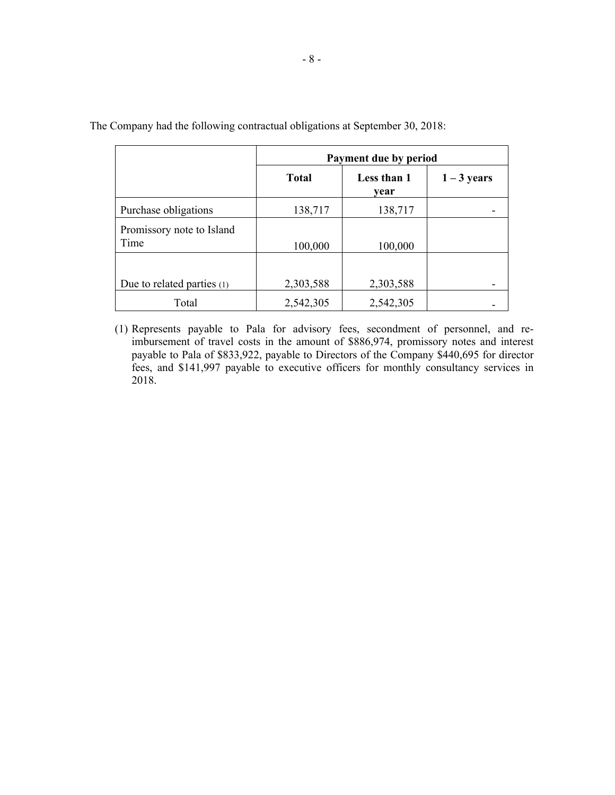|                                   | Payment due by period |                     |               |  |
|-----------------------------------|-----------------------|---------------------|---------------|--|
|                                   | <b>Total</b>          | Less than 1<br>vear | $1 - 3$ years |  |
| Purchase obligations              | 138,717               | 138,717             |               |  |
| Promissory note to Island<br>Time | 100,000               | 100,000             |               |  |
| Due to related parties (1)        | 2,303,588             | 2,303,588           |               |  |
| Total                             | 2,542,305             | 2,542,305           |               |  |

The Company had the following contractual obligations at September 30, 2018:

(1) Represents payable to Pala for advisory fees, secondment of personnel, and reimbursement of travel costs in the amount of \$886,974, promissory notes and interest payable to Pala of \$833,922, payable to Directors of the Company \$440,695 for director fees, and \$141,997 payable to executive officers for monthly consultancy services in 2018.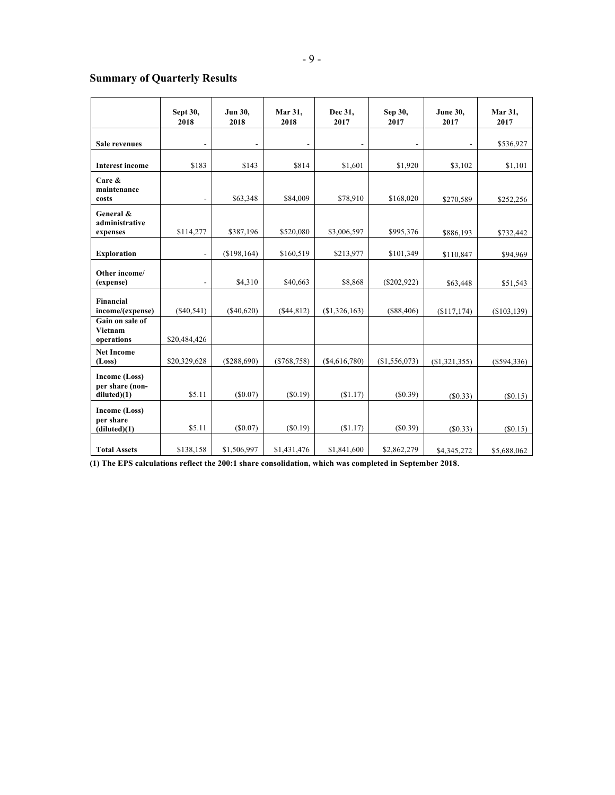# **Summary of Quarterly Results**

|                                                 | Sept 30,<br>2018         | Jun 30,<br>2018 | Mar 31,<br>2018 | Dec 31,<br>2017 | Sep 30,<br>2017 | <b>June 30,</b><br>2017 | Mar 31,<br>2017 |
|-------------------------------------------------|--------------------------|-----------------|-----------------|-----------------|-----------------|-------------------------|-----------------|
| Sale revenues                                   |                          |                 |                 |                 |                 |                         | \$536,927       |
| <b>Interest income</b>                          | \$183                    | \$143           | \$814           | \$1,601         | \$1,920         | \$3,102                 | \$1,101         |
| Care &<br>maintenance<br>costs                  |                          | \$63,348        | \$84,009        | \$78,910        | \$168,020       | \$270,589               | \$252,256       |
| General &<br>administrative<br>expenses         | \$114,277                | \$387,196       | \$520,080       | \$3,006,597     | \$995,376       | \$886,193               | \$732,442       |
| <b>Exploration</b>                              | $\overline{a}$           | (\$198,164)     | \$160,519       | \$213,977       | \$101,349       | \$110,847               | \$94,969        |
| Other income/<br>(expense)                      | $\overline{\phantom{a}}$ | \$4,310         | \$40,663        | \$8,868         | $(\$202,922)$   | \$63,448                | \$51,543        |
| Financial<br>income/(expense)                   | (S40, 541)               | $($ \$40,620)   | ( \$44, 812)    | (\$1,326,163)   | (S88, 406)      | (S117, 174)             | (S103, 139)     |
| Gain on sale of<br><b>Vietnam</b><br>operations | \$20,484,426             |                 |                 |                 |                 |                         |                 |
| <b>Net Income</b><br>(Loss)                     | \$20,329,628             | (\$288,690)     | $(*768,758)$    | ( \$4,616,780)  | (\$1,556,073)   | $(\$1,321,355)$         | $(\$594,336)$   |
| Income (Loss)<br>per share (non-<br>diluted(1)  | \$5.11                   | $(\$0.07)$      | (S0.19)         | (\$1.17)        | (S0.39)         | (S0.33)                 | (S0.15)         |
| Income (Loss)<br>per share<br>(diluted)(1)      | \$5.11                   | $(\$0.07)$      | (S0.19)         | (\$1.17)        | (\$0.39)        | (S0.33)                 | (S0.15)         |
| <b>Total Assets</b>                             | \$138,158                | \$1,506,997     | \$1,431,476     | \$1,841,600     | \$2,862,279     | \$4,345,272             | \$5,688,062     |

**(1) The EPS calculations reflect the 200:1 share consolidation, which was completed in September 2018**.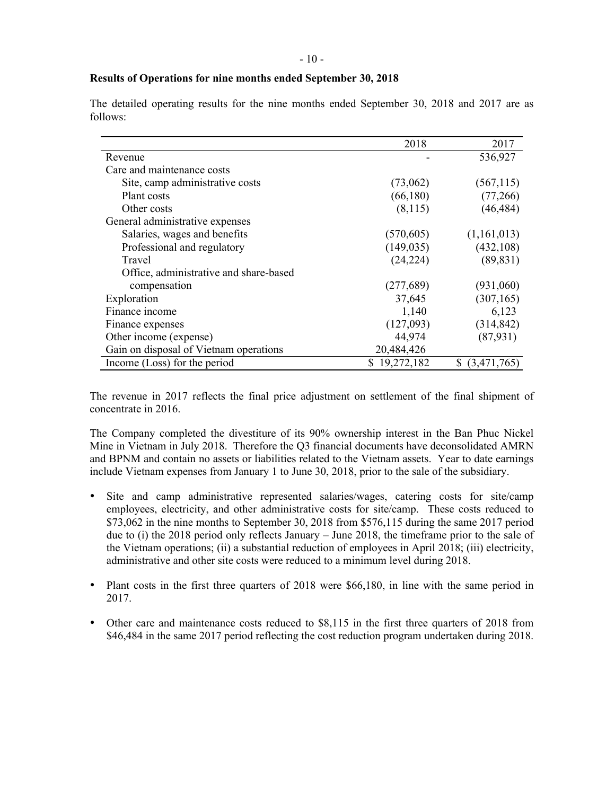## **Results of Operations for nine months ended September 30, 2018**

|                                        | 2018         | 2017              |
|----------------------------------------|--------------|-------------------|
| Revenue                                |              | 536,927           |
| Care and maintenance costs             |              |                   |
| Site, camp administrative costs        | (73,062)     | (567, 115)        |
| Plant costs                            | (66, 180)    | (77,266)          |
| Other costs                            | (8,115)      | (46, 484)         |
| General administrative expenses        |              |                   |
| Salaries, wages and benefits           | (570, 605)   | (1,161,013)       |
| Professional and regulatory            | (149, 035)   | (432, 108)        |
| Travel                                 | (24, 224)    | (89, 831)         |
| Office, administrative and share-based |              |                   |
| compensation                           | (277,689)    | (931,060)         |
| Exploration                            | 37,645       | (307, 165)        |
| Finance income                         | 1,140        | 6,123             |
| Finance expenses                       | (127,093)    | (314, 842)        |
| Other income (expense)                 | 44,974       | (87,931)          |
| Gain on disposal of Vietnam operations | 20,484,426   |                   |
| Income (Loss) for the period           | \$19,272,182 | $$$ $(3,471,765)$ |

The detailed operating results for the nine months ended September 30, 2018 and 2017 are as follows:

The revenue in 2017 reflects the final price adjustment on settlement of the final shipment of concentrate in 2016.

The Company completed the divestiture of its 90% ownership interest in the Ban Phuc Nickel Mine in Vietnam in July 2018. Therefore the Q3 financial documents have deconsolidated AMRN and BPNM and contain no assets or liabilities related to the Vietnam assets. Year to date earnings include Vietnam expenses from January 1 to June 30, 2018, prior to the sale of the subsidiary.

- Site and camp administrative represented salaries/wages, catering costs for site/camp employees, electricity, and other administrative costs for site/camp. These costs reduced to  $$73,062$  in the nine months to September 30, 2018 from \$576,115 during the same 2017 period due to (i) the 2018 period only reflects January – June 2018, the timeframe prior to the sale of the Vietnam operations; (ii) a substantial reduction of employees in April 2018; (iii) electricity, administrative and other site costs were reduced to a minimum level during 2018.
- Plant costs in the first three quarters of 2018 were \$66,180, in line with the same period in 2017.
- Other care and maintenance costs reduced to \$8,115 in the first three quarters of 2018 from \$46,484 in the same 2017 period reflecting the cost reduction program undertaken during 2018.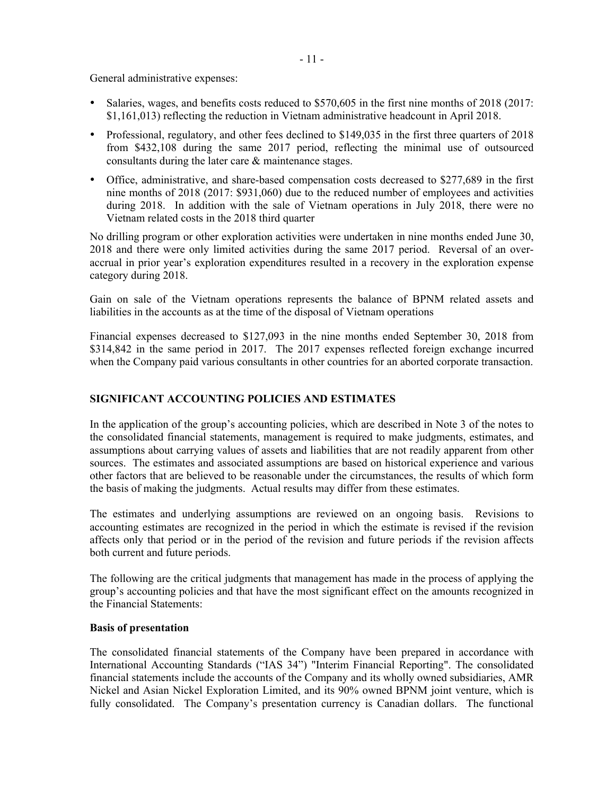General administrative expenses:

- Salaries, wages, and benefits costs reduced to \$570,605 in the first nine months of 2018 (2017: \$1,161,013) reflecting the reduction in Vietnam administrative headcount in April 2018.
- Professional, regulatory, and other fees declined to \$149,035 in the first three quarters of 2018 from \$432,108 during the same 2017 period, reflecting the minimal use of outsourced consultants during the later care & maintenance stages.
- Office, administrative, and share-based compensation costs decreased to \$277,689 in the first nine months of 2018 (2017: \$931,060) due to the reduced number of employees and activities during 2018. In addition with the sale of Vietnam operations in July 2018, there were no Vietnam related costs in the 2018 third quarter

No drilling program or other exploration activities were undertaken in nine months ended June 30, 2018 and there were only limited activities during the same 2017 period. Reversal of an overaccrual in prior year's exploration expenditures resulted in a recovery in the exploration expense category during 2018.

Gain on sale of the Vietnam operations represents the balance of BPNM related assets and liabilities in the accounts as at the time of the disposal of Vietnam operations

Financial expenses decreased to \$127,093 in the nine months ended September 30, 2018 from \$314,842 in the same period in 2017. The 2017 expenses reflected foreign exchange incurred when the Company paid various consultants in other countries for an aborted corporate transaction.

# **SIGNIFICANT ACCOUNTING POLICIES AND ESTIMATES**

In the application of the group's accounting policies, which are described in Note 3 of the notes to the consolidated financial statements, management is required to make judgments, estimates, and assumptions about carrying values of assets and liabilities that are not readily apparent from other sources. The estimates and associated assumptions are based on historical experience and various other factors that are believed to be reasonable under the circumstances, the results of which form the basis of making the judgments. Actual results may differ from these estimates.

The estimates and underlying assumptions are reviewed on an ongoing basis. Revisions to accounting estimates are recognized in the period in which the estimate is revised if the revision affects only that period or in the period of the revision and future periods if the revision affects both current and future periods.

The following are the critical judgments that management has made in the process of applying the group's accounting policies and that have the most significant effect on the amounts recognized in the Financial Statements:

#### **Basis of presentation**

The consolidated financial statements of the Company have been prepared in accordance with International Accounting Standards ("IAS 34") "Interim Financial Reporting". The consolidated financial statements include the accounts of the Company and its wholly owned subsidiaries, AMR Nickel and Asian Nickel Exploration Limited, and its 90% owned BPNM joint venture, which is fully consolidated. The Company's presentation currency is Canadian dollars. The functional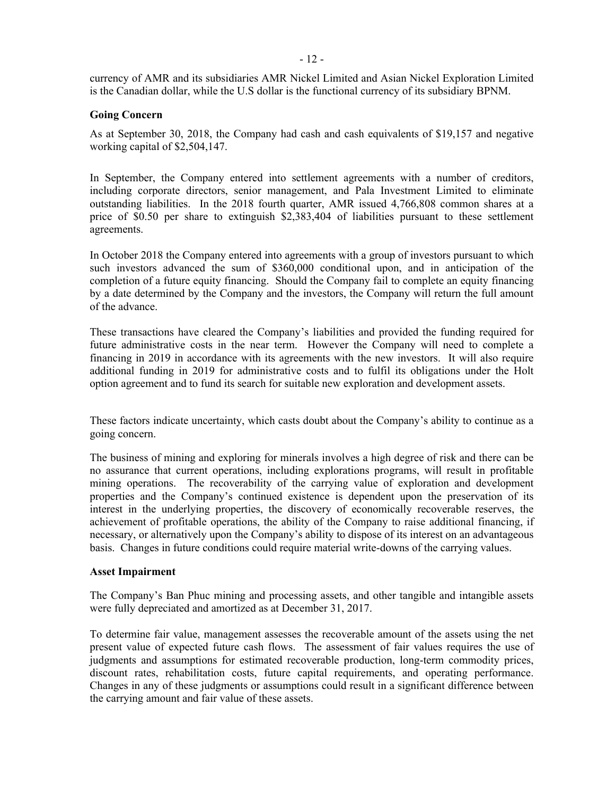currency of AMR and its subsidiaries AMR Nickel Limited and Asian Nickel Exploration Limited is the Canadian dollar, while the U.S dollar is the functional currency of its subsidiary BPNM.

## **Going Concern**

As at September 30, 2018, the Company had cash and cash equivalents of \$19,157 and negative working capital of \$2,504,147.

In September, the Company entered into settlement agreements with a number of creditors, including corporate directors, senior management, and Pala Investment Limited to eliminate outstanding liabilities. In the 2018 fourth quarter, AMR issued 4,766,808 common shares at a price of \$0.50 per share to extinguish \$2,383,404 of liabilities pursuant to these settlement agreements.

In October 2018 the Company entered into agreements with a group of investors pursuant to which such investors advanced the sum of \$360,000 conditional upon, and in anticipation of the completion of a future equity financing. Should the Company fail to complete an equity financing by a date determined by the Company and the investors, the Company will return the full amount of the advance.

These transactions have cleared the Company's liabilities and provided the funding required for future administrative costs in the near term. However the Company will need to complete a financing in 2019 in accordance with its agreements with the new investors. It will also require additional funding in 2019 for administrative costs and to fulfil its obligations under the Holt option agreement and to fund its search for suitable new exploration and development assets.

These factors indicate uncertainty, which casts doubt about the Company's ability to continue as a going concern.

The business of mining and exploring for minerals involves a high degree of risk and there can be no assurance that current operations, including explorations programs, will result in profitable mining operations. The recoverability of the carrying value of exploration and development properties and the Company's continued existence is dependent upon the preservation of its interest in the underlying properties, the discovery of economically recoverable reserves, the achievement of profitable operations, the ability of the Company to raise additional financing, if necessary, or alternatively upon the Company's ability to dispose of its interest on an advantageous basis. Changes in future conditions could require material write-downs of the carrying values.

#### **Asset Impairment**

The Company's Ban Phuc mining and processing assets, and other tangible and intangible assets were fully depreciated and amortized as at December 31, 2017.

To determine fair value, management assesses the recoverable amount of the assets using the net present value of expected future cash flows. The assessment of fair values requires the use of judgments and assumptions for estimated recoverable production, long-term commodity prices, discount rates, rehabilitation costs, future capital requirements, and operating performance. Changes in any of these judgments or assumptions could result in a significant difference between the carrying amount and fair value of these assets.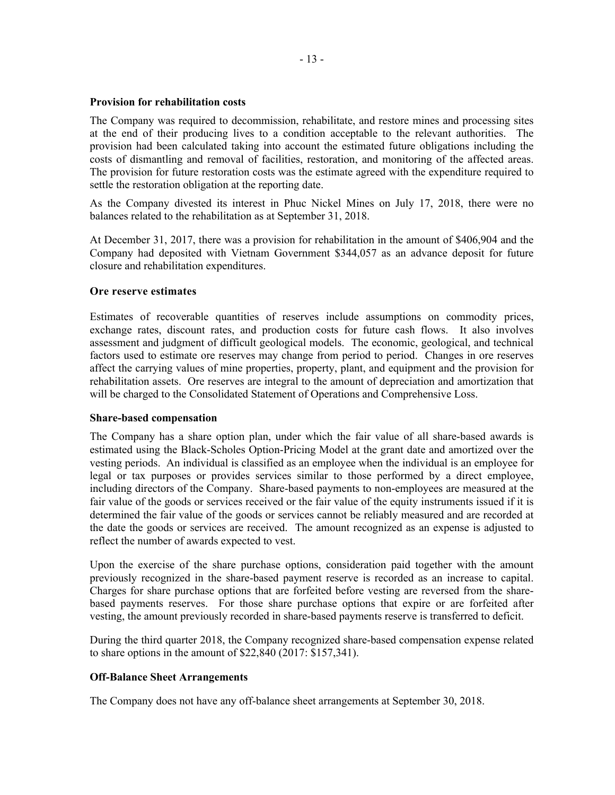## **Provision for rehabilitation costs**

The Company was required to decommission, rehabilitate, and restore mines and processing sites at the end of their producing lives to a condition acceptable to the relevant authorities. The provision had been calculated taking into account the estimated future obligations including the costs of dismantling and removal of facilities, restoration, and monitoring of the affected areas. The provision for future restoration costs was the estimate agreed with the expenditure required to settle the restoration obligation at the reporting date.

As the Company divested its interest in Phuc Nickel Mines on July 17, 2018, there were no balances related to the rehabilitation as at September 31, 2018.

At December 31, 2017, there was a provision for rehabilitation in the amount of \$406,904 and the Company had deposited with Vietnam Government \$344,057 as an advance deposit for future closure and rehabilitation expenditures.

## **Ore reserve estimates**

Estimates of recoverable quantities of reserves include assumptions on commodity prices, exchange rates, discount rates, and production costs for future cash flows. It also involves assessment and judgment of difficult geological models. The economic, geological, and technical factors used to estimate ore reserves may change from period to period. Changes in ore reserves affect the carrying values of mine properties, property, plant, and equipment and the provision for rehabilitation assets. Ore reserves are integral to the amount of depreciation and amortization that will be charged to the Consolidated Statement of Operations and Comprehensive Loss.

#### **Share-based compensation**

The Company has a share option plan, under which the fair value of all share-based awards is estimated using the Black-Scholes Option-Pricing Model at the grant date and amortized over the vesting periods. An individual is classified as an employee when the individual is an employee for legal or tax purposes or provides services similar to those performed by a direct employee, including directors of the Company. Share-based payments to non-employees are measured at the fair value of the goods or services received or the fair value of the equity instruments issued if it is determined the fair value of the goods or services cannot be reliably measured and are recorded at the date the goods or services are received. The amount recognized as an expense is adjusted to reflect the number of awards expected to vest.

Upon the exercise of the share purchase options, consideration paid together with the amount previously recognized in the share-based payment reserve is recorded as an increase to capital. Charges for share purchase options that are forfeited before vesting are reversed from the sharebased payments reserves. For those share purchase options that expire or are forfeited after vesting, the amount previously recorded in share-based payments reserve is transferred to deficit.

During the third quarter 2018, the Company recognized share-based compensation expense related to share options in the amount of \$22,840 (2017: \$157,341).

# **Off-Balance Sheet Arrangements**

The Company does not have any off-balance sheet arrangements at September 30, 2018.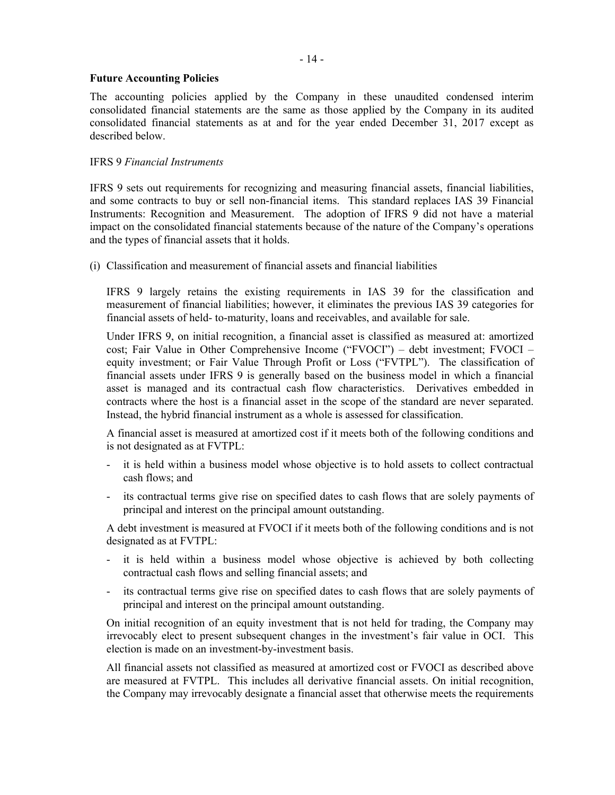## **Future Accounting Policies**

The accounting policies applied by the Company in these unaudited condensed interim consolidated financial statements are the same as those applied by the Company in its audited consolidated financial statements as at and for the year ended December 31, 2017 except as described below.

# IFRS 9 *Financial Instruments*

IFRS 9 sets out requirements for recognizing and measuring financial assets, financial liabilities, and some contracts to buy or sell non-financial items. This standard replaces IAS 39 Financial Instruments: Recognition and Measurement. The adoption of IFRS 9 did not have a material impact on the consolidated financial statements because of the nature of the Company's operations and the types of financial assets that it holds.

(i) Classification and measurement of financial assets and financial liabilities

IFRS 9 largely retains the existing requirements in IAS 39 for the classification and measurement of financial liabilities; however, it eliminates the previous IAS 39 categories for financial assets of held- to-maturity, loans and receivables, and available for sale.

Under IFRS 9, on initial recognition, a financial asset is classified as measured at: amortized cost; Fair Value in Other Comprehensive Income ("FVOCI") – debt investment; FVOCI – equity investment; or Fair Value Through Profit or Loss ("FVTPL"). The classification of financial assets under IFRS 9 is generally based on the business model in which a financial asset is managed and its contractual cash flow characteristics. Derivatives embedded in contracts where the host is a financial asset in the scope of the standard are never separated. Instead, the hybrid financial instrument as a whole is assessed for classification.

A financial asset is measured at amortized cost if it meets both of the following conditions and is not designated as at FVTPL:

- it is held within a business model whose objective is to hold assets to collect contractual cash flows; and
- its contractual terms give rise on specified dates to cash flows that are solely payments of principal and interest on the principal amount outstanding.

A debt investment is measured at FVOCI if it meets both of the following conditions and is not designated as at FVTPL:

- it is held within a business model whose objective is achieved by both collecting contractual cash flows and selling financial assets; and
- its contractual terms give rise on specified dates to cash flows that are solely payments of principal and interest on the principal amount outstanding.

On initial recognition of an equity investment that is not held for trading, the Company may irrevocably elect to present subsequent changes in the investment's fair value in OCI. This election is made on an investment-by-investment basis.

All financial assets not classified as measured at amortized cost or FVOCI as described above are measured at FVTPL. This includes all derivative financial assets. On initial recognition, the Company may irrevocably designate a financial asset that otherwise meets the requirements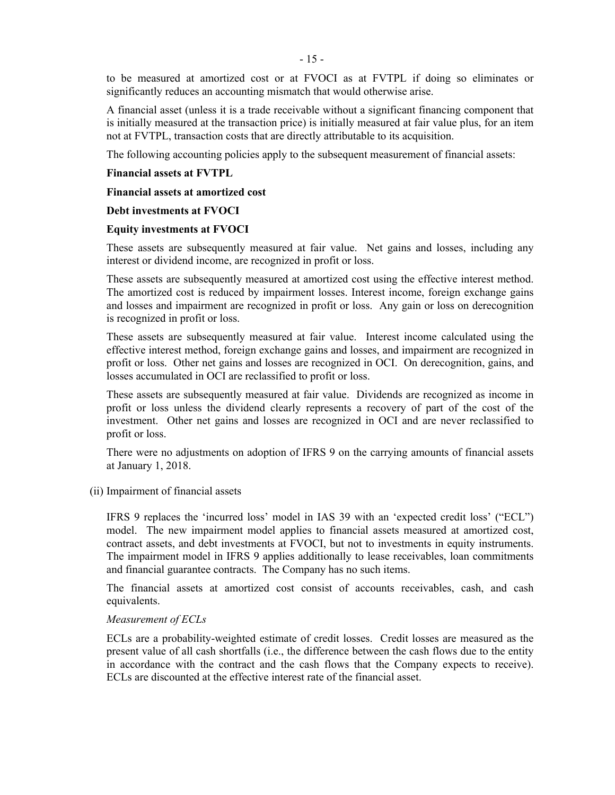to be measured at amortized cost or at FVOCI as at FVTPL if doing so eliminates or significantly reduces an accounting mismatch that would otherwise arise.

A financial asset (unless it is a trade receivable without a significant financing component that is initially measured at the transaction price) is initially measured at fair value plus, for an item not at FVTPL, transaction costs that are directly attributable to its acquisition.

The following accounting policies apply to the subsequent measurement of financial assets:

#### **Financial assets at FVTPL**

**Financial assets at amortized cost** 

## **Debt investments at FVOCI**

## **Equity investments at FVOCI**

These assets are subsequently measured at fair value. Net gains and losses, including any interest or dividend income, are recognized in profit or loss.

These assets are subsequently measured at amortized cost using the effective interest method. The amortized cost is reduced by impairment losses. Interest income, foreign exchange gains and losses and impairment are recognized in profit or loss. Any gain or loss on derecognition is recognized in profit or loss.

These assets are subsequently measured at fair value. Interest income calculated using the effective interest method, foreign exchange gains and losses, and impairment are recognized in profit or loss. Other net gains and losses are recognized in OCI. On derecognition, gains, and losses accumulated in OCI are reclassified to profit or loss.

These assets are subsequently measured at fair value. Dividends are recognized as income in profit or loss unless the dividend clearly represents a recovery of part of the cost of the investment. Other net gains and losses are recognized in OCI and are never reclassified to profit or loss.

There were no adjustments on adoption of IFRS 9 on the carrying amounts of financial assets at January 1, 2018.

#### (ii) Impairment of financial assets

IFRS 9 replaces the 'incurred loss' model in IAS 39 with an 'expected credit loss' ("ECL") model. The new impairment model applies to financial assets measured at amortized cost, contract assets, and debt investments at FVOCI, but not to investments in equity instruments. The impairment model in IFRS 9 applies additionally to lease receivables, loan commitments and financial guarantee contracts. The Company has no such items.

The financial assets at amortized cost consist of accounts receivables, cash, and cash equivalents.

#### *Measurement of ECLs*

ECLs are a probability-weighted estimate of credit losses. Credit losses are measured as the present value of all cash shortfalls (i.e., the difference between the cash flows due to the entity in accordance with the contract and the cash flows that the Company expects to receive). ECLs are discounted at the effective interest rate of the financial asset.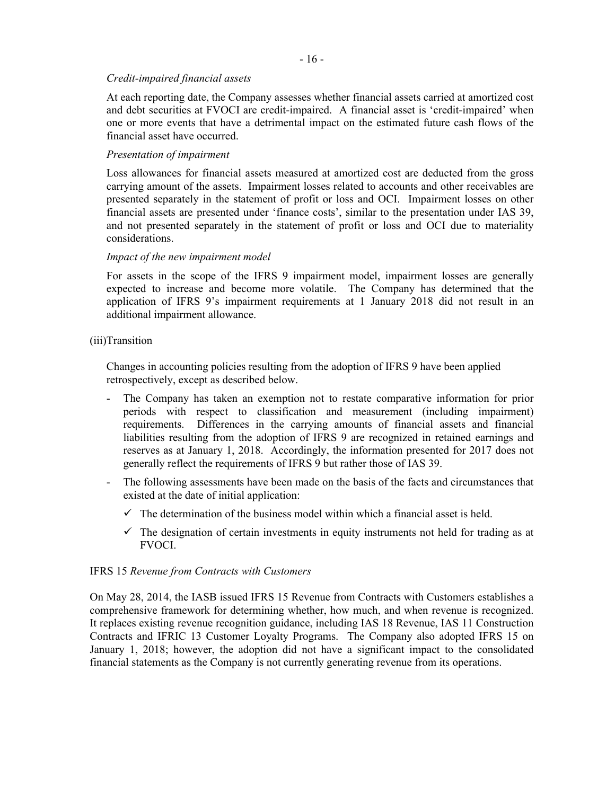## $-16-$

## *Credit-impaired financial assets*

At each reporting date, the Company assesses whether financial assets carried at amortized cost and debt securities at FVOCI are credit-impaired. A financial asset is 'credit-impaired' when one or more events that have a detrimental impact on the estimated future cash flows of the financial asset have occurred.

## *Presentation of impairment*

Loss allowances for financial assets measured at amortized cost are deducted from the gross carrying amount of the assets. Impairment losses related to accounts and other receivables are presented separately in the statement of profit or loss and OCI. Impairment losses on other financial assets are presented under 'finance costs', similar to the presentation under IAS 39, and not presented separately in the statement of profit or loss and OCI due to materiality considerations.

## *Impact of the new impairment model*

For assets in the scope of the IFRS 9 impairment model, impairment losses are generally expected to increase and become more volatile. The Company has determined that the application of IFRS 9's impairment requirements at 1 January 2018 did not result in an additional impairment allowance.

## (iii)Transition

Changes in accounting policies resulting from the adoption of IFRS 9 have been applied retrospectively, except as described below.

- The Company has taken an exemption not to restate comparative information for prior periods with respect to classification and measurement (including impairment) requirements. Differences in the carrying amounts of financial assets and financial liabilities resulting from the adoption of IFRS 9 are recognized in retained earnings and reserves as at January 1, 2018. Accordingly, the information presented for 2017 does not generally reflect the requirements of IFRS 9 but rather those of IAS 39.
- The following assessments have been made on the basis of the facts and circumstances that existed at the date of initial application:
	- $\checkmark$  The determination of the business model within which a financial asset is held.
	- $\checkmark$  The designation of certain investments in equity instruments not held for trading as at FVOCI.

#### IFRS 15 *Revenue from Contracts with Customers*

On May 28, 2014, the IASB issued IFRS 15 Revenue from Contracts with Customers establishes a comprehensive framework for determining whether, how much, and when revenue is recognized. It replaces existing revenue recognition guidance, including IAS 18 Revenue, IAS 11 Construction Contracts and IFRIC 13 Customer Loyalty Programs. The Company also adopted IFRS 15 on January 1, 2018; however, the adoption did not have a significant impact to the consolidated financial statements as the Company is not currently generating revenue from its operations.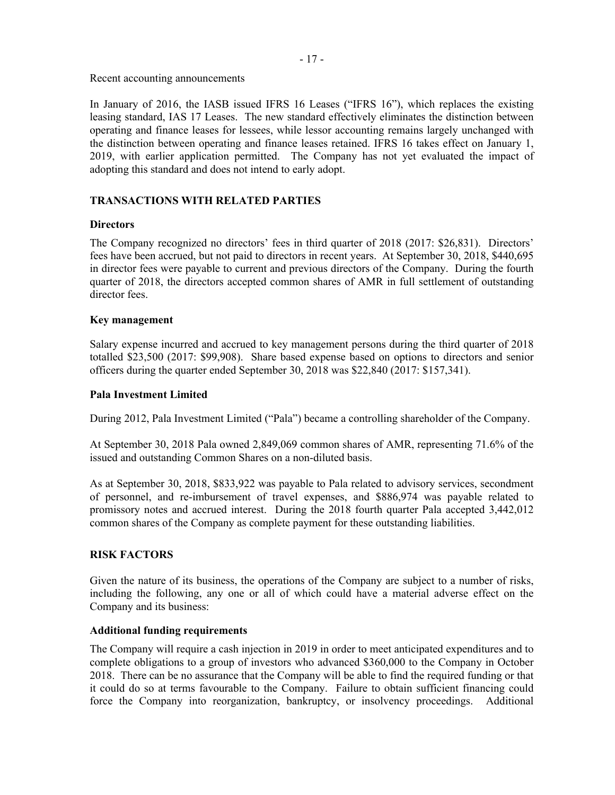Recent accounting announcements

In January of 2016, the IASB issued IFRS 16 Leases ("IFRS 16"), which replaces the existing leasing standard, IAS 17 Leases. The new standard effectively eliminates the distinction between operating and finance leases for lessees, while lessor accounting remains largely unchanged with the distinction between operating and finance leases retained. IFRS 16 takes effect on January 1, 2019, with earlier application permitted. The Company has not yet evaluated the impact of adopting this standard and does not intend to early adopt.

# **TRANSACTIONS WITH RELATED PARTIES**

# **Directors**

The Company recognized no directors' fees in third quarter of 2018 (2017: \$26,831). Directors' fees have been accrued, but not paid to directors in recent years. At September 30, 2018, \$440,695 in director fees were payable to current and previous directors of the Company. During the fourth quarter of 2018, the directors accepted common shares of AMR in full settlement of outstanding director fees.

# **Key management**

Salary expense incurred and accrued to key management persons during the third quarter of 2018 totalled \$23,500 (2017: \$99,908). Share based expense based on options to directors and senior officers during the quarter ended September 30, 2018 was \$22,840 (2017: \$157,341).

# **Pala Investment Limited**

During 2012, Pala Investment Limited ("Pala") became a controlling shareholder of the Company.

At September 30, 2018 Pala owned 2,849,069 common shares of AMR, representing 71.6% of the issued and outstanding Common Shares on a non-diluted basis.

As at September 30, 2018, \$833,922 was payable to Pala related to advisory services, secondment of personnel, and re-imbursement of travel expenses, and \$886,974 was payable related to promissory notes and accrued interest. During the 2018 fourth quarter Pala accepted 3,442,012 common shares of the Company as complete payment for these outstanding liabilities.

# **RISK FACTORS**

Given the nature of its business, the operations of the Company are subject to a number of risks, including the following, any one or all of which could have a material adverse effect on the Company and its business:

# **Additional funding requirements**

The Company will require a cash injection in 2019 in order to meet anticipated expenditures and to complete obligations to a group of investors who advanced \$360,000 to the Company in October 2018. There can be no assurance that the Company will be able to find the required funding or that it could do so at terms favourable to the Company. Failure to obtain sufficient financing could force the Company into reorganization, bankruptcy, or insolvency proceedings. Additional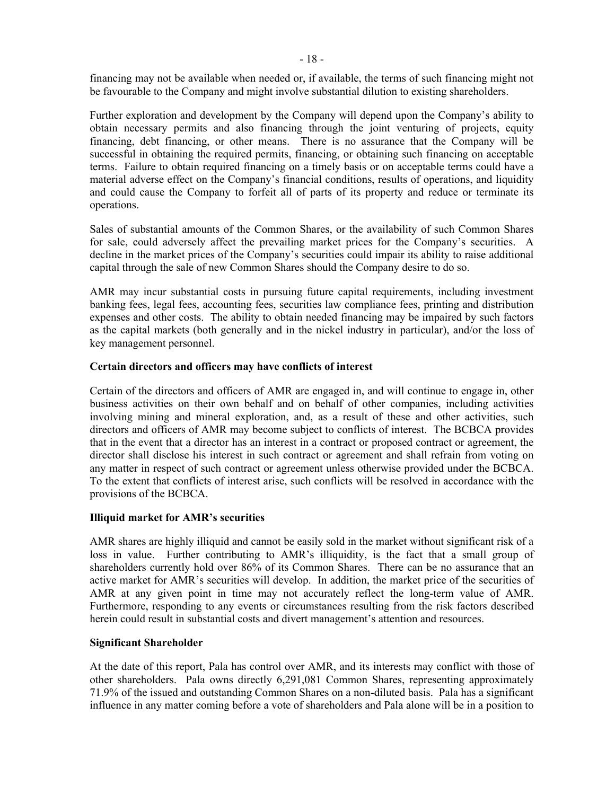financing may not be available when needed or, if available, the terms of such financing might not be favourable to the Company and might involve substantial dilution to existing shareholders.

Further exploration and development by the Company will depend upon the Company's ability to obtain necessary permits and also financing through the joint venturing of projects, equity financing, debt financing, or other means. There is no assurance that the Company will be successful in obtaining the required permits, financing, or obtaining such financing on acceptable terms. Failure to obtain required financing on a timely basis or on acceptable terms could have a material adverse effect on the Company's financial conditions, results of operations, and liquidity and could cause the Company to forfeit all of parts of its property and reduce or terminate its operations.

Sales of substantial amounts of the Common Shares, or the availability of such Common Shares for sale, could adversely affect the prevailing market prices for the Company's securities. A decline in the market prices of the Company's securities could impair its ability to raise additional capital through the sale of new Common Shares should the Company desire to do so.

AMR may incur substantial costs in pursuing future capital requirements, including investment banking fees, legal fees, accounting fees, securities law compliance fees, printing and distribution expenses and other costs. The ability to obtain needed financing may be impaired by such factors as the capital markets (both generally and in the nickel industry in particular), and/or the loss of key management personnel.

# **Certain directors and officers may have conflicts of interest**

Certain of the directors and officers of AMR are engaged in, and will continue to engage in, other business activities on their own behalf and on behalf of other companies, including activities involving mining and mineral exploration, and, as a result of these and other activities, such directors and officers of AMR may become subject to conflicts of interest. The BCBCA provides that in the event that a director has an interest in a contract or proposed contract or agreement, the director shall disclose his interest in such contract or agreement and shall refrain from voting on any matter in respect of such contract or agreement unless otherwise provided under the BCBCA. To the extent that conflicts of interest arise, such conflicts will be resolved in accordance with the provisions of the BCBCA.

# **Illiquid market for AMR's securities**

AMR shares are highly illiquid and cannot be easily sold in the market without significant risk of a loss in value. Further contributing to AMR's illiquidity, is the fact that a small group of shareholders currently hold over 86% of its Common Shares. There can be no assurance that an active market for AMR's securities will develop. In addition, the market price of the securities of AMR at any given point in time may not accurately reflect the long-term value of AMR. Furthermore, responding to any events or circumstances resulting from the risk factors described herein could result in substantial costs and divert management's attention and resources.

# **Significant Shareholder**

At the date of this report, Pala has control over AMR, and its interests may conflict with those of other shareholders. Pala owns directly 6,291,081 Common Shares, representing approximately 71.9% of the issued and outstanding Common Shares on a non-diluted basis. Pala has a significant influence in any matter coming before a vote of shareholders and Pala alone will be in a position to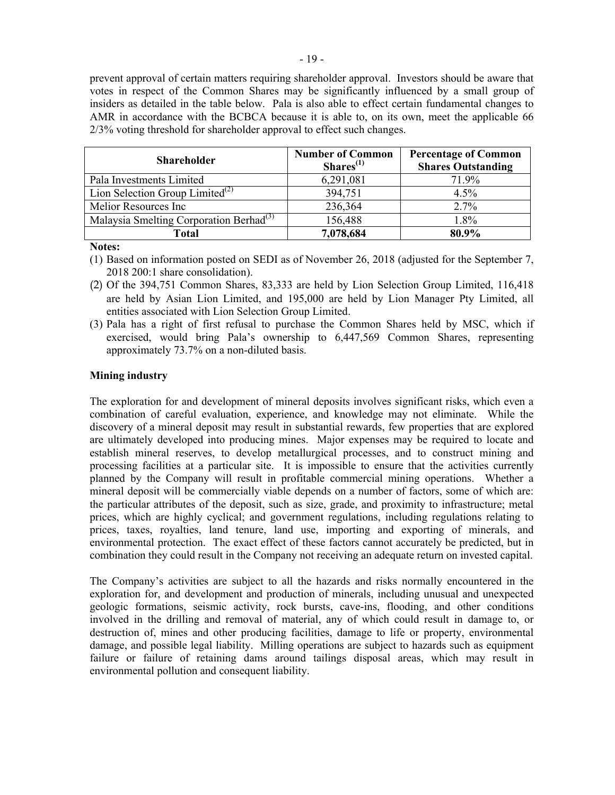prevent approval of certain matters requiring shareholder approval. Investors should be aware that votes in respect of the Common Shares may be significantly influenced by a small group of insiders as detailed in the table below. Pala is also able to effect certain fundamental changes to AMR in accordance with the BCBCA because it is able to, on its own, meet the applicable 66 2/3% voting threshold for shareholder approval to effect such changes.

| <b>Shareholder</b>                                  | <b>Number of Common</b><br>Shares <sup>(1)</sup> | <b>Percentage of Common</b><br><b>Shares Outstanding</b> |
|-----------------------------------------------------|--------------------------------------------------|----------------------------------------------------------|
| Pala Investments Limited                            | 6,291,081                                        | 71.9%                                                    |
| Lion Selection Group Limited <sup>(2)</sup>         | 394,751                                          | 4.5%                                                     |
| Melior Resources Inc                                | 236,364                                          | 2.7%                                                     |
| Malaysia Smelting Corporation Berhad <sup>(3)</sup> | 156,488                                          | 1.8%                                                     |
| <b>Total</b>                                        | 7,078,684                                        | 80.9%                                                    |

**Notes:**

- (1) Based on information posted on SEDI as of November 26, 2018 (adjusted for the September 7, 2018 200:1 share consolidation).
- (2) Of the 394,751 Common Shares, 83,333 are held by Lion Selection Group Limited, 116,418 are held by Asian Lion Limited, and 195,000 are held by Lion Manager Pty Limited, all entities associated with Lion Selection Group Limited.
- (3) Pala has a right of first refusal to purchase the Common Shares held by MSC, which if exercised, would bring Pala's ownership to 6,447,569 Common Shares, representing approximately 73.7% on a non-diluted basis.

# **Mining industry**

The exploration for and development of mineral deposits involves significant risks, which even a combination of careful evaluation, experience, and knowledge may not eliminate. While the discovery of a mineral deposit may result in substantial rewards, few properties that are explored are ultimately developed into producing mines. Major expenses may be required to locate and establish mineral reserves, to develop metallurgical processes, and to construct mining and processing facilities at a particular site. It is impossible to ensure that the activities currently planned by the Company will result in profitable commercial mining operations. Whether a mineral deposit will be commercially viable depends on a number of factors, some of which are: the particular attributes of the deposit, such as size, grade, and proximity to infrastructure; metal prices, which are highly cyclical; and government regulations, including regulations relating to prices, taxes, royalties, land tenure, land use, importing and exporting of minerals, and environmental protection. The exact effect of these factors cannot accurately be predicted, but in combination they could result in the Company not receiving an adequate return on invested capital.

The Company's activities are subject to all the hazards and risks normally encountered in the exploration for, and development and production of minerals, including unusual and unexpected geologic formations, seismic activity, rock bursts, cave-ins, flooding, and other conditions involved in the drilling and removal of material, any of which could result in damage to, or destruction of, mines and other producing facilities, damage to life or property, environmental damage, and possible legal liability. Milling operations are subject to hazards such as equipment failure or failure of retaining dams around tailings disposal areas, which may result in environmental pollution and consequent liability.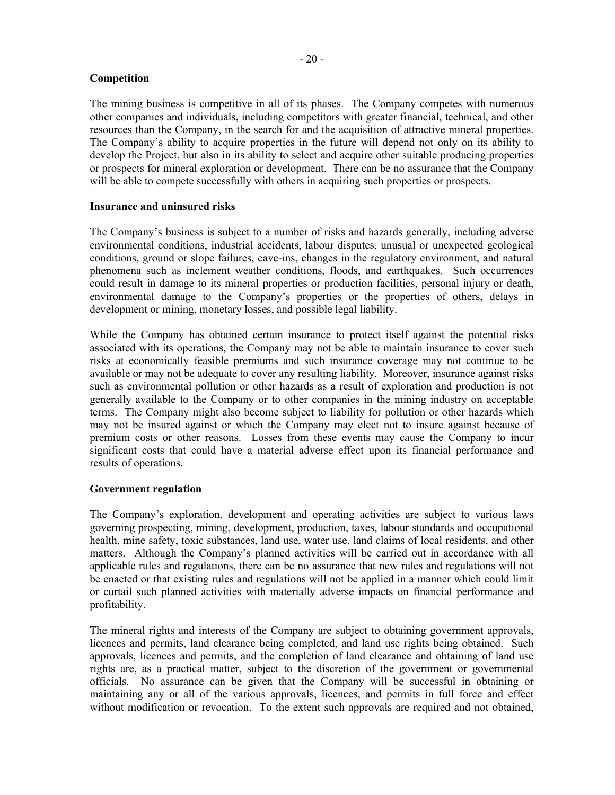# **Competition**

The mining business is competitive in all of its phases. The Company competes with numerous other companies and individuals, including competitors with greater financial, technical, and other resources than the Company, in the search for and the acquisition of attractive mineral properties. The Company's ability to acquire properties in the future will depend not only on its ability to develop the Project, but also in its ability to select and acquire other suitable producing properties or prospects for mineral exploration or development. There can be no assurance that the Company will be able to compete successfully with others in acquiring such properties or prospects.

#### **Insurance and uninsured risks**

The Company's business is subject to a number of risks and hazards generally, including adverse environmental conditions, industrial accidents, labour disputes, unusual or unexpected geological conditions, ground or slope failures, cave-ins, changes in the regulatory environment, and natural phenomena such as inclement weather conditions, floods, and earthquakes. Such occurrences could result in damage to its mineral properties or production facilities, personal injury or death, environmental damage to the Company's properties or the properties of others, delays in development or mining, monetary losses, and possible legal liability.

While the Company has obtained certain insurance to protect itself against the potential risks associated with its operations, the Company may not be able to maintain insurance to cover such risks at economically feasible premiums and such insurance coverage may not continue to be available or may not be adequate to cover any resulting liability. Moreover, insurance against risks such as environmental pollution or other hazards as a result of exploration and production is not generally available to the Company or to other companies in the mining industry on acceptable terms. The Company might also become subject to liability for pollution or other hazards which may not be insured against or which the Company may elect not to insure against because of premium costs or other reasons. Losses from these events may cause the Company to incur significant costs that could have a material adverse effect upon its financial performance and results of operations.

# **Government regulation**

The Company's exploration, development and operating activities are subject to various laws governing prospecting, mining, development, production, taxes, labour standards and occupational health, mine safety, toxic substances, land use, water use, land claims of local residents, and other matters. Although the Company's planned activities will be carried out in accordance with all applicable rules and regulations, there can be no assurance that new rules and regulations will not be enacted or that existing rules and regulations will not be applied in a manner which could limit or curtail such planned activities with materially adverse impacts on financial performance and profitability.

The mineral rights and interests of the Company are subject to obtaining government approvals, licences and permits, land clearance being completed, and land use rights being obtained. Such approvals, licences and permits, and the completion of land clearance and obtaining of land use rights are, as a practical matter, subject to the discretion of the government or governmental officials. No assurance can be given that the Company will be successful in obtaining or maintaining any or all of the various approvals, licences, and permits in full force and effect without modification or revocation. To the extent such approvals are required and not obtained,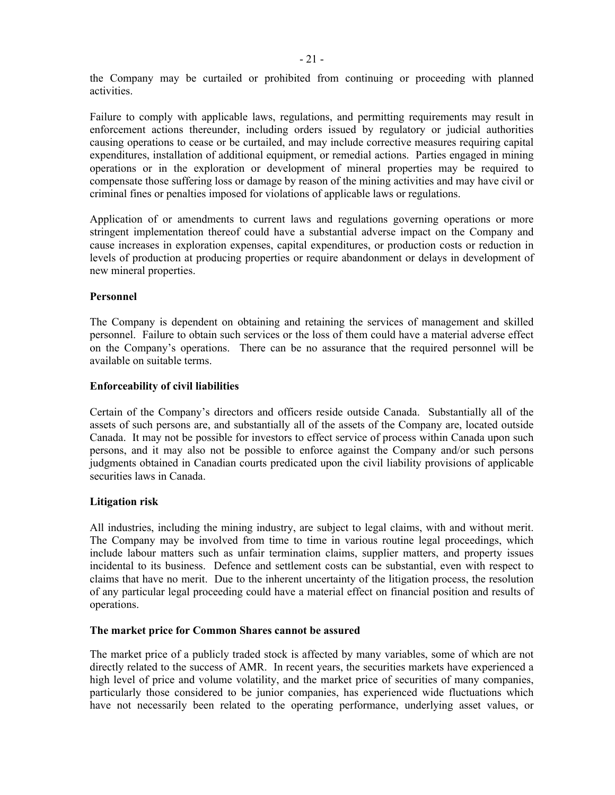the Company may be curtailed or prohibited from continuing or proceeding with planned activities.

Failure to comply with applicable laws, regulations, and permitting requirements may result in enforcement actions thereunder, including orders issued by regulatory or judicial authorities causing operations to cease or be curtailed, and may include corrective measures requiring capital expenditures, installation of additional equipment, or remedial actions. Parties engaged in mining operations or in the exploration or development of mineral properties may be required to compensate those suffering loss or damage by reason of the mining activities and may have civil or criminal fines or penalties imposed for violations of applicable laws or regulations.

Application of or amendments to current laws and regulations governing operations or more stringent implementation thereof could have a substantial adverse impact on the Company and cause increases in exploration expenses, capital expenditures, or production costs or reduction in levels of production at producing properties or require abandonment or delays in development of new mineral properties.

## **Personnel**

The Company is dependent on obtaining and retaining the services of management and skilled personnel. Failure to obtain such services or the loss of them could have a material adverse effect on the Company's operations. There can be no assurance that the required personnel will be available on suitable terms.

## **Enforceability of civil liabilities**

Certain of the Company's directors and officers reside outside Canada. Substantially all of the assets of such persons are, and substantially all of the assets of the Company are, located outside Canada. It may not be possible for investors to effect service of process within Canada upon such persons, and it may also not be possible to enforce against the Company and/or such persons judgments obtained in Canadian courts predicated upon the civil liability provisions of applicable securities laws in Canada.

#### **Litigation risk**

All industries, including the mining industry, are subject to legal claims, with and without merit. The Company may be involved from time to time in various routine legal proceedings, which include labour matters such as unfair termination claims, supplier matters, and property issues incidental to its business. Defence and settlement costs can be substantial, even with respect to claims that have no merit. Due to the inherent uncertainty of the litigation process, the resolution of any particular legal proceeding could have a material effect on financial position and results of operations.

#### **The market price for Common Shares cannot be assured**

The market price of a publicly traded stock is affected by many variables, some of which are not directly related to the success of AMR. In recent years, the securities markets have experienced a high level of price and volume volatility, and the market price of securities of many companies, particularly those considered to be junior companies, has experienced wide fluctuations which have not necessarily been related to the operating performance, underlying asset values, or